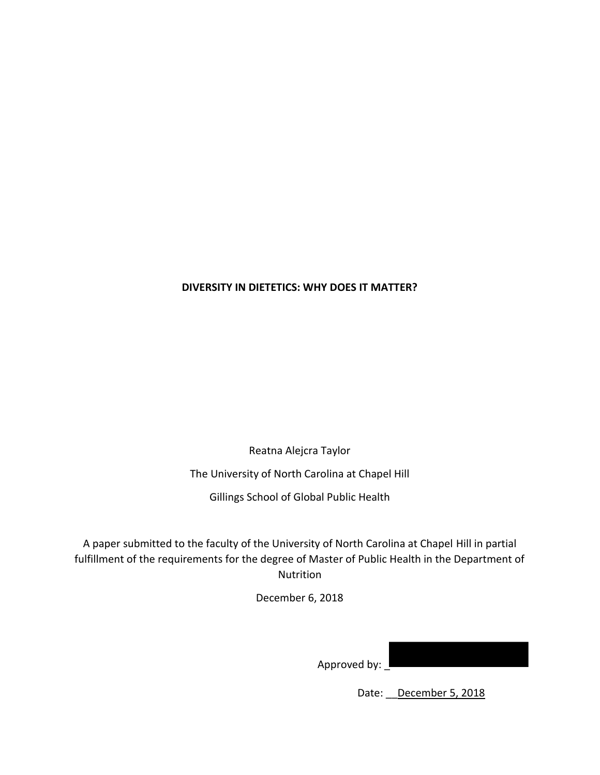## **DIVERSITY IN DIETETICS: WHY DOES IT MATTER?**

Reatna Alejcra Taylor

The University of North Carolina at Chapel Hill

Gillings School of Global Public Health

A paper submitted to the faculty of the University of North Carolina at Chapel Hill in partial fulfillment of the requirements for the degree of Master of Public Health in the Department of Nutrition

December 6, 2018

Approved by:

Date: December 5, 2018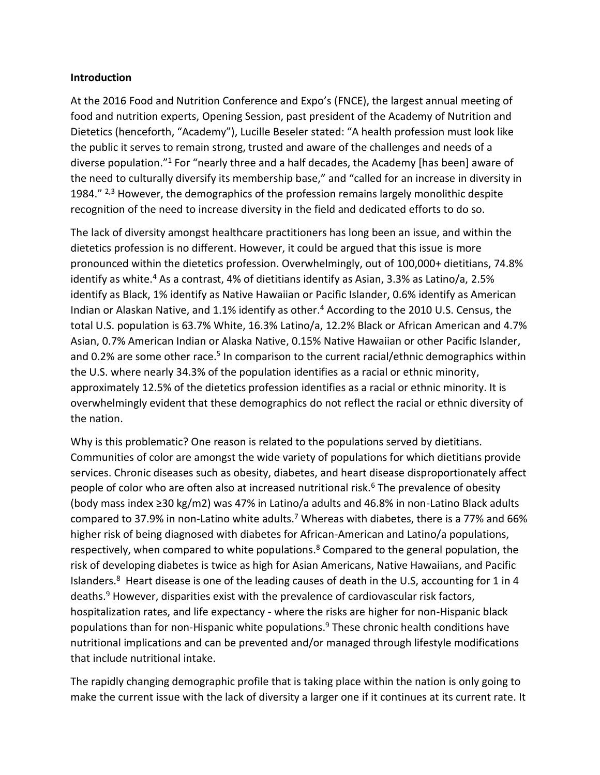#### **Introduction**

At the 2016 Food and Nutrition Conference and Expo's (FNCE), the largest annual meeting of food and nutrition experts, Opening Session, past president of the Academy of Nutrition and Dietetics (henceforth, "Academy"), Lucille Beseler stated: "A health profession must look like the public it serves to remain strong, trusted and aware of the challenges and needs of a diverse population."<sup>1</sup> For "nearly three and a half decades, the Academy [has been] aware of the need to culturally diversify its membership base," and "called for an increase in diversity in 1984."  $2,3$  However, the demographics of the profession remains largely monolithic despite recognition of the need to increase diversity in the field and dedicated efforts to do so.

The lack of diversity amongst healthcare practitioners has long been an issue, and within the dietetics profession is no different. However, it could be argued that this issue is more pronounced within the dietetics profession. Overwhelmingly, out of 100,000+ dietitians, 74.8% identify as white.<sup>4</sup> As a contrast, 4% of dietitians identify as Asian, 3.3% as Latino/a, 2.5% identify as Black, 1% identify as Native Hawaiian or Pacific Islander, 0.6% identify as American Indian or Alaskan Native, and 1.1% identify as other. <sup>4</sup> According to the 2010 U.S. Census, the total U.S. population is 63.7% White, 16.3% Latino/a, 12.2% Black or African American and 4.7% Asian, 0.7% American Indian or Alaska Native, 0.15% Native Hawaiian or other Pacific Islander, and 0.2% are some other race.<sup>5</sup> In comparison to the current racial/ethnic demographics within the U.S. where nearly 34.3% of the population identifies as a racial or ethnic minority, approximately 12.5% of the dietetics profession identifies as a racial or ethnic minority. It is overwhelmingly evident that these demographics do not reflect the racial or ethnic diversity of the nation.

Why is this problematic? One reason is related to the populations served by dietitians. Communities of color are amongst the wide variety of populations for which dietitians provide services. Chronic diseases such as obesity, diabetes, and heart disease disproportionately affect people of color who are often also at increased nutritional risk.<sup>6</sup> The prevalence of obesity (body mass index ≥30 kg/m2) was 47% in Latino/a adults and 46.8% in non-Latino Black adults compared to 37.9% in non-Latino white adults.<sup>7</sup> Whereas with diabetes, there is a 77% and 66% higher risk of being diagnosed with diabetes for African-American and Latino/a populations, respectively, when compared to white populations.<sup>8</sup> Compared to the general population, the risk of developing diabetes is twice as high for Asian Americans, Native Hawaiians, and Pacific Islanders.<sup>8</sup> Heart disease is one of the leading causes of death in the U.S, accounting for 1 in 4 deaths. <sup>9</sup> However, disparities exist with the prevalence of cardiovascular risk factors, hospitalization rates, and life expectancy - where the risks are higher for non-Hispanic black populations than for non-Hispanic white populations. <sup>9</sup> These chronic health conditions have nutritional implications and can be prevented and/or managed through lifestyle modifications that include nutritional intake.

The rapidly changing demographic profile that is taking place within the nation is only going to make the current issue with the lack of diversity a larger one if it continues at its current rate. It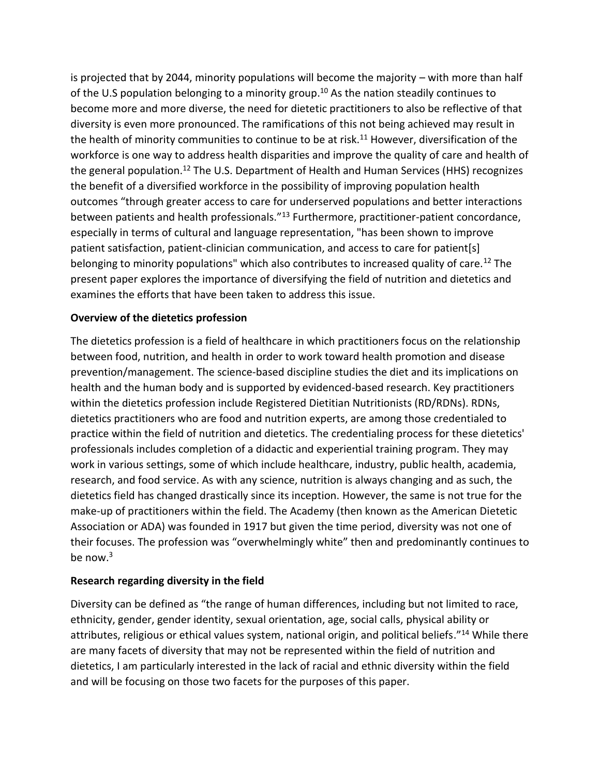is projected that by 2044, minority populations will become the majority – with more than half of the U.S population belonging to a minority group.<sup>10</sup> As the nation steadily continues to become more and more diverse, the need for dietetic practitioners to also be reflective of that diversity is even more pronounced. The ramifications of this not being achieved may result in the health of minority communities to continue to be at risk.<sup>11</sup> However, diversification of the workforce is one way to address health disparities and improve the quality of care and health of the general population.<sup>12</sup> The U.S. Department of Health and Human Services (HHS) recognizes the benefit of a diversified workforce in the possibility of improving population health outcomes "through greater access to care for underserved populations and better interactions between patients and health professionals."<sup>13</sup> Furthermore, practitioner-patient concordance, especially in terms of cultural and language representation, "has been shown to improve patient satisfaction, patient-clinician communication, and access to care for patient[s] belonging to minority populations" which also contributes to increased quality of care.<sup>12</sup> The present paper explores the importance of diversifying the field of nutrition and dietetics and examines the efforts that have been taken to address this issue.

# **Overview of the dietetics profession**

The dietetics profession is a field of healthcare in which practitioners focus on the relationship between food, nutrition, and health in order to work toward health promotion and disease prevention/management. The science-based discipline studies the diet and its implications on health and the human body and is supported by evidenced-based research. Key practitioners within the dietetics profession include Registered Dietitian Nutritionists (RD/RDNs). RDNs, dietetics practitioners who are food and nutrition experts, are among those credentialed to practice within the field of nutrition and dietetics. The credentialing process for these dietetics' professionals includes completion of a didactic and experiential training program. They may work in various settings, some of which include healthcare, industry, public health, academia, research, and food service. As with any science, nutrition is always changing and as such, the dietetics field has changed drastically since its inception. However, the same is not true for the make-up of practitioners within the field. The Academy (then known as the American Dietetic Association or ADA) was founded in 1917 but given the time period, diversity was not one of their focuses. The profession was "overwhelmingly white" then and predominantly continues to be now.<sup>3</sup>

## **Research regarding diversity in the field**

Diversity can be defined as "the range of human differences, including but not limited to race, ethnicity, gender, gender identity, sexual orientation, age, social calls, physical ability or attributes, religious or ethical values system, national origin, and political beliefs."<sup>14</sup> While there are many facets of diversity that may not be represented within the field of nutrition and dietetics, I am particularly interested in the lack of racial and ethnic diversity within the field and will be focusing on those two facets for the purposes of this paper.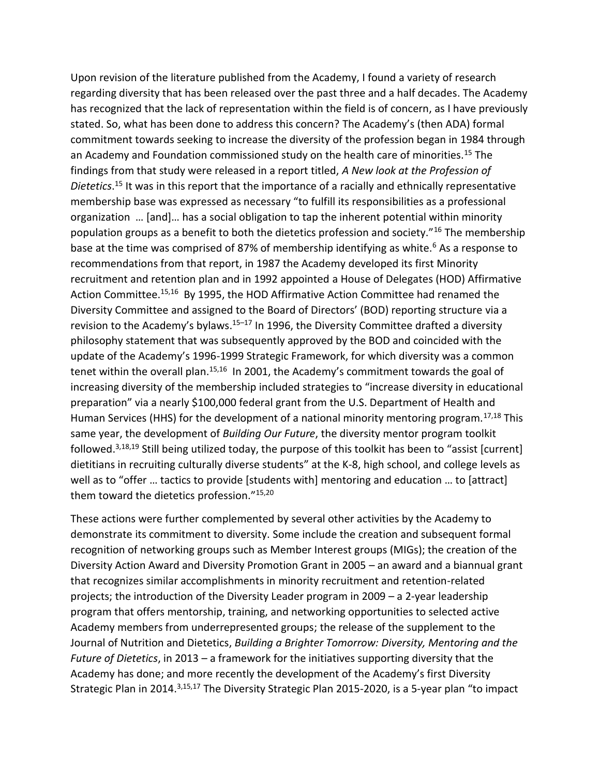Upon revision of the literature published from the Academy, I found a variety of research regarding diversity that has been released over the past three and a half decades. The Academy has recognized that the lack of representation within the field is of concern, as I have previously stated. So, what has been done to address this concern? The Academy's (then ADA) formal commitment towards seeking to increase the diversity of the profession began in 1984 through an Academy and Foundation commissioned study on the health care of minorities.<sup>15</sup> The findings from that study were released in a report titled, *A New look at the Profession of Dietetics*. <sup>15</sup> It was in this report that the importance of a racially and ethnically representative membership base was expressed as necessary "to fulfill its responsibilities as a professional organization … [and]… has a social obligation to tap the inherent potential within minority population groups as a benefit to both the dietetics profession and society."<sup>16</sup> The membership base at the time was comprised of 87% of membership identifying as white.<sup>6</sup> As a response to recommendations from that report, in 1987 the Academy developed its first Minority recruitment and retention plan and in 1992 appointed a House of Delegates (HOD) Affirmative Action Committee.<sup>15,16</sup> By 1995, the HOD Affirmative Action Committee had renamed the Diversity Committee and assigned to the Board of Directors' (BOD) reporting structure via a revision to the Academy's bylaws.<sup>15–17</sup> In 1996, the Diversity Committee drafted a diversity philosophy statement that was subsequently approved by the BOD and coincided with the update of the Academy's 1996-1999 Strategic Framework, for which diversity was a common tenet within the overall plan.<sup>15,16</sup> In 2001, the Academy's commitment towards the goal of increasing diversity of the membership included strategies to "increase diversity in educational preparation" via a nearly \$100,000 federal grant from the U.S. Department of Health and Human Services (HHS) for the development of a national minority mentoring program.<sup>17,18</sup> This same year, the development of *Building Our Future*, the diversity mentor program toolkit followed.<sup>3,18,19</sup> Still being utilized today, the purpose of this toolkit has been to "assist [current] dietitians in recruiting culturally diverse students" at the K-8, high school, and college levels as well as to "offer … tactics to provide [students with] mentoring and education … to [attract] them toward the dietetics profession."15,20

These actions were further complemented by several other activities by the Academy to demonstrate its commitment to diversity. Some include the creation and subsequent formal recognition of networking groups such as Member Interest groups (MIGs); the creation of the Diversity Action Award and Diversity Promotion Grant in 2005 – an award and a biannual grant that recognizes similar accomplishments in minority recruitment and retention-related projects; the introduction of the Diversity Leader program in 2009 – a 2-year leadership program that offers mentorship, training, and networking opportunities to selected active Academy members from underrepresented groups; the release of the supplement to the Journal of Nutrition and Dietetics, *Building a Brighter Tomorrow: Diversity, Mentoring and the Future of Dietetics*, in 2013 – a framework for the initiatives supporting diversity that the Academy has done; and more recently the development of the Academy's first Diversity Strategic Plan in 2014.<sup>3,15,17</sup> The Diversity Strategic Plan 2015-2020, is a 5-year plan "to impact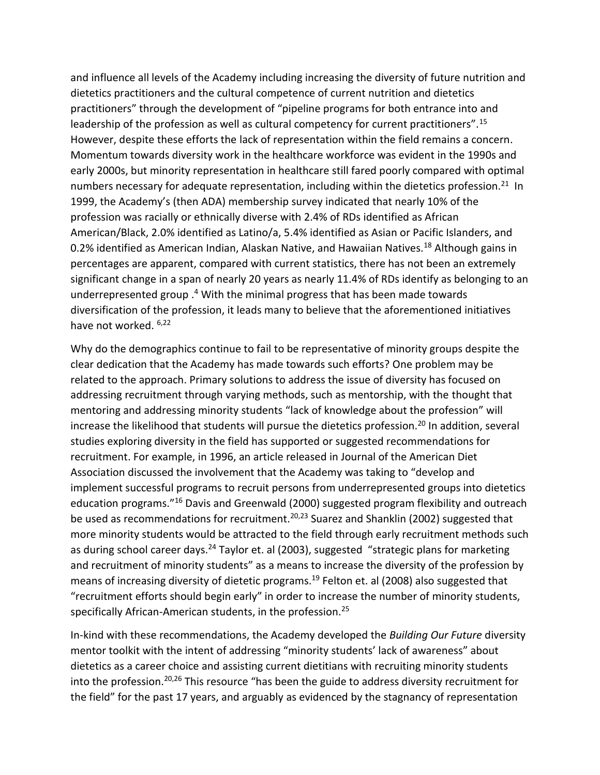and influence all levels of the Academy including increasing the diversity of future nutrition and dietetics practitioners and the cultural competence of current nutrition and dietetics practitioners" through the development of "pipeline programs for both entrance into and leadership of the profession as well as cultural competency for current practitioners".<sup>15</sup> However, despite these efforts the lack of representation within the field remains a concern. Momentum towards diversity work in the healthcare workforce was evident in the 1990s and early 2000s, but minority representation in healthcare still fared poorly compared with optimal numbers necessary for adequate representation, including within the dietetics profession.<sup>21</sup> In 1999, the Academy's (then ADA) membership survey indicated that nearly 10% of the profession was racially or ethnically diverse with 2.4% of RDs identified as African American/Black, 2.0% identified as Latino/a, 5.4% identified as Asian or Pacific Islanders, and 0.2% identified as American Indian, Alaskan Native, and Hawaiian Natives.<sup>18</sup> Although gains in percentages are apparent, compared with current statistics, there has not been an extremely significant change in a span of nearly 20 years as nearly 11.4% of RDs identify as belonging to an underrepresented group . <sup>4</sup> With the minimal progress that has been made towards diversification of the profession, it leads many to believe that the aforementioned initiatives have not worked. 6,22

Why do the demographics continue to fail to be representative of minority groups despite the clear dedication that the Academy has made towards such efforts? One problem may be related to the approach. Primary solutions to address the issue of diversity has focused on addressing recruitment through varying methods, such as mentorship, with the thought that mentoring and addressing minority students "lack of knowledge about the profession" will increase the likelihood that students will pursue the dietetics profession.<sup>20</sup> In addition, several studies exploring diversity in the field has supported or suggested recommendations for recruitment. For example, in 1996, an article released in Journal of the American Diet Association discussed the involvement that the Academy was taking to "develop and implement successful programs to recruit persons from underrepresented groups into dietetics education programs."<sup>16</sup> Davis and Greenwald (2000) suggested program flexibility and outreach be used as recommendations for recruitment.<sup>20,23</sup> Suarez and Shanklin (2002) suggested that more minority students would be attracted to the field through early recruitment methods such as during school career days.<sup>24</sup> Taylor et. al (2003), suggested "strategic plans for marketing and recruitment of minority students" as a means to increase the diversity of the profession by means of increasing diversity of dietetic programs.<sup>19</sup> Felton et. al (2008) also suggested that "recruitment efforts should begin early" in order to increase the number of minority students, specifically African-American students, in the profession.<sup>25</sup>

In-kind with these recommendations, the Academy developed the *Building Our Future* diversity mentor toolkit with the intent of addressing "minority students' lack of awareness" about dietetics as a career choice and assisting current dietitians with recruiting minority students into the profession.<sup>20,26</sup> This resource "has been the guide to address diversity recruitment for the field" for the past 17 years, and arguably as evidenced by the stagnancy of representation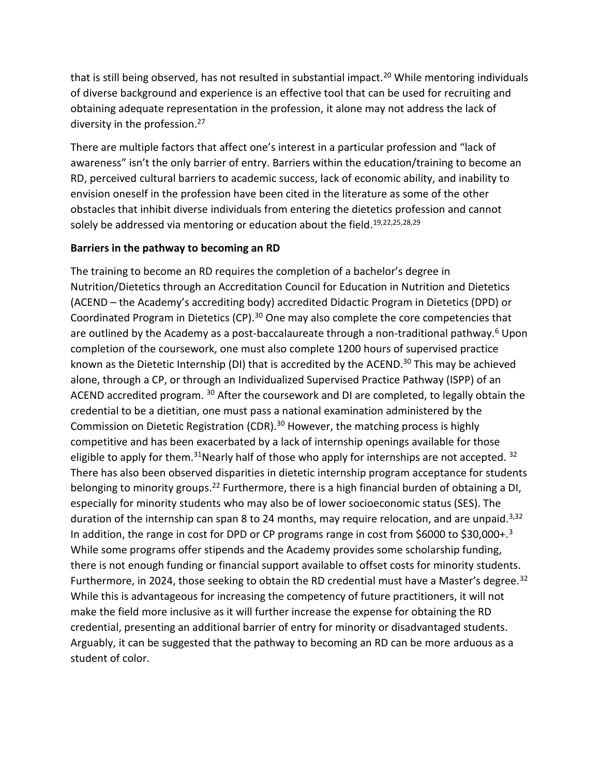that is still being observed, has not resulted in substantial impact.<sup>20</sup> While mentoring individuals of diverse background and experience is an effective tool that can be used for recruiting and obtaining adequate representation in the profession, it alone may not address the lack of diversity in the profession.<sup>27</sup>

There are multiple factors that affect one's interest in a particular profession and "lack of awareness" isn't the only barrier of entry. Barriers within the education/training to become an RD, perceived cultural barriers to academic success, lack of economic ability, and inability to envision oneself in the profession have been cited in the literature as some of the other obstacles that inhibit diverse individuals from entering the dietetics profession and cannot solely be addressed via mentoring or education about the field.<sup>19,22,25,28,29</sup>

## **Barriers in the pathway to becoming an RD**

The training to become an RD requires the completion of a bachelor's degree in Nutrition/Dietetics through an Accreditation Council for Education in Nutrition and Dietetics (ACEND – the Academy's accrediting body) accredited Didactic Program in Dietetics (DPD) or Coordinated Program in Dietetics (CP).<sup>30</sup> One may also complete the core competencies that are outlined by the Academy as a post-baccalaureate through a non-traditional pathway.<sup>6</sup> Upon completion of the coursework, one must also complete 1200 hours of supervised practice known as the Dietetic Internship (DI) that is accredited by the ACEND.<sup>30</sup> This may be achieved alone, through a CP, or through an Individualized Supervised Practice Pathway (ISPP) of an ACEND accredited program. <sup>30</sup> After the coursework and DI are completed, to legally obtain the credential to be a dietitian, one must pass a national examination administered by the Commission on Dietetic Registration (CDR).<sup>30</sup> However, the matching process is highly competitive and has been exacerbated by a lack of internship openings available for those eligible to apply for them.<sup>31</sup>Nearly half of those who apply for internships are not accepted.<sup>32</sup> There has also been observed disparities in dietetic internship program acceptance for students belonging to minority groups.<sup>22</sup> Furthermore, there is a high financial burden of obtaining a DI, especially for minority students who may also be of lower socioeconomic status (SES). The duration of the internship can span 8 to 24 months, may require relocation, and are unpaid.<sup>3,32</sup> In addition, the range in cost for DPD or CP programs range in cost from \$6000 to \$30,000+.<sup>3</sup> While some programs offer stipends and the Academy provides some scholarship funding, there is not enough funding or financial support available to offset costs for minority students. Furthermore, in 2024, those seeking to obtain the RD credential must have a Master's degree.<sup>32</sup> While this is advantageous for increasing the competency of future practitioners, it will not make the field more inclusive as it will further increase the expense for obtaining the RD credential, presenting an additional barrier of entry for minority or disadvantaged students. Arguably, it can be suggested that the pathway to becoming an RD can be more arduous as a student of color.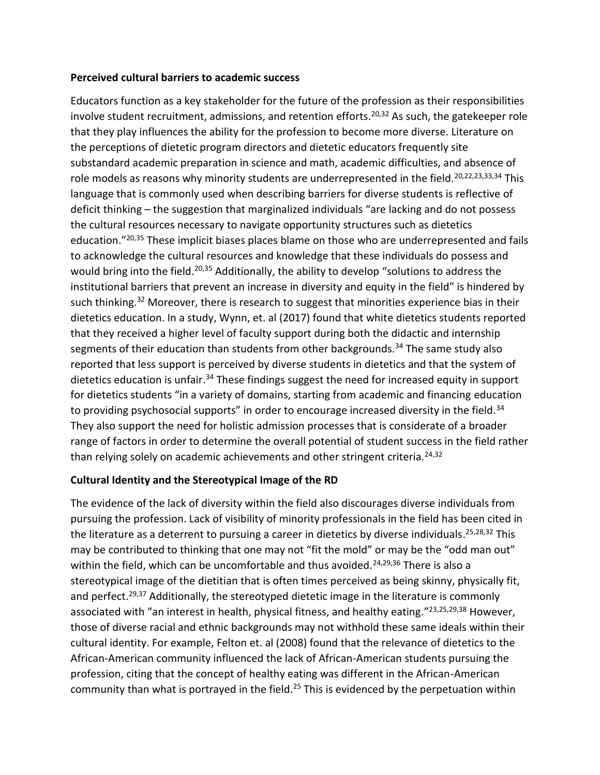#### **Perceived cultural barriers to academic success**

Educators function as a key stakeholder for the future of the profession as their responsibilities involve student recruitment, admissions, and retention efforts.<sup>20,32</sup> As such, the gatekeeper role that they play influences the ability for the profession to become more diverse. Literature on the perceptions of dietetic program directors and dietetic educators frequently site substandard academic preparation in science and math, academic difficulties, and absence of role models as reasons why minority students are underrepresented in the field.<sup>20,22,23,33,34</sup> This language that is commonly used when describing barriers for diverse students is reflective of deficit thinking – the suggestion that marginalized individuals "are lacking and do not possess the cultural resources necessary to navigate opportunity structures such as dietetics education."<sup>20,35</sup> These implicit biases places blame on those who are underrepresented and fails to acknowledge the cultural resources and knowledge that these individuals do possess and would bring into the field.<sup>20,35</sup> Additionally, the ability to develop "solutions to address the institutional barriers that prevent an increase in diversity and equity in the field" is hindered by such thinking.<sup>32</sup> Moreover, there is research to suggest that minorities experience bias in their dietetics education. In a study, Wynn, et. al (2017) found that white dietetics students reported that they received a higher level of faculty support during both the didactic and internship segments of their education than students from other backgrounds.<sup>34</sup> The same study also reported that less support is perceived by diverse students in dietetics and that the system of dietetics education is unfair.<sup>34</sup> These findings suggest the need for increased equity in support for dietetics students "in a variety of domains, starting from academic and financing education to providing psychosocial supports" in order to encourage increased diversity in the field.<sup>34</sup> They also support the need for holistic admission processes that is considerate of a broader range of factors in order to determine the overall potential of student success in the field rather than relying solely on academic achievements and other stringent criteria.<sup>24,32</sup>

## **Cultural Identity and the Stereotypical Image of the RD**

The evidence of the lack of diversity within the field also discourages diverse individuals from pursuing the profession. Lack of visibility of minority professionals in the field has been cited in the literature as a deterrent to pursuing a career in dietetics by diverse individuals. 25,28,32 This may be contributed to thinking that one may not "fit the mold" or may be the "odd man out" within the field, which can be uncomfortable and thus avoided.<sup>24,29,36</sup> There is also a stereotypical image of the dietitian that is often times perceived as being skinny, physically fit, and perfect.<sup>29,37</sup> Additionally, the stereotyped dietetic image in the literature is commonly associated with "an interest in health, physical fitness, and healthy eating."<sup>23,25,29,38</sup> However, those of diverse racial and ethnic backgrounds may not withhold these same ideals within their cultural identity. For example, Felton et. al (2008) found that the relevance of dietetics to the African-American community influenced the lack of African-American students pursuing the profession, citing that the concept of healthy eating was different in the African-American community than what is portrayed in the field.<sup>25</sup> This is evidenced by the perpetuation within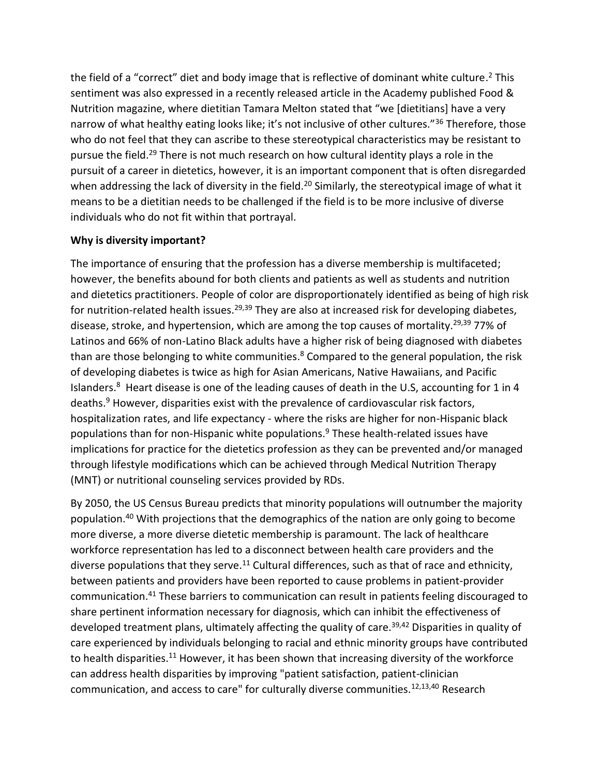the field of a "correct" diet and body image that is reflective of dominant white culture.<sup>2</sup> This sentiment was also expressed in a recently released article in the Academy published Food & Nutrition magazine, where dietitian Tamara Melton stated that "we [dietitians] have a very narrow of what healthy eating looks like; it's not inclusive of other cultures."<sup>36</sup> Therefore, those who do not feel that they can ascribe to these stereotypical characteristics may be resistant to pursue the field.<sup>29</sup> There is not much research on how cultural identity plays a role in the pursuit of a career in dietetics, however, it is an important component that is often disregarded when addressing the lack of diversity in the field.<sup>20</sup> Similarly, the stereotypical image of what it means to be a dietitian needs to be challenged if the field is to be more inclusive of diverse individuals who do not fit within that portrayal.

## **Why is diversity important?**

The importance of ensuring that the profession has a diverse membership is multifaceted; however, the benefits abound for both clients and patients as well as students and nutrition and dietetics practitioners. People of color are disproportionately identified as being of high risk for nutrition-related health issues.<sup>29,39</sup> They are also at increased risk for developing diabetes, disease, stroke, and hypertension, which are among the top causes of mortality.<sup>29,39</sup> 77% of Latinos and 66% of non-Latino Black adults have a higher risk of being diagnosed with diabetes than are those belonging to white communities.<sup>8</sup> Compared to the general population, the risk of developing diabetes is twice as high for Asian Americans, Native Hawaiians, and Pacific Islanders.<sup>8</sup> Heart disease is one of the leading causes of death in the U.S, accounting for 1 in 4 deaths.<sup>9</sup> However, disparities exist with the prevalence of cardiovascular risk factors, hospitalization rates, and life expectancy - where the risks are higher for non-Hispanic black populations than for non-Hispanic white populations.<sup>9</sup> These health-related issues have implications for practice for the dietetics profession as they can be prevented and/or managed through lifestyle modifications which can be achieved through Medical Nutrition Therapy (MNT) or nutritional counseling services provided by RDs.

By 2050, the US Census Bureau predicts that minority populations will outnumber the majority population.<sup>40</sup> With projections that the demographics of the nation are only going to become more diverse, a more diverse dietetic membership is paramount. The lack of healthcare workforce representation has led to a disconnect between health care providers and the diverse populations that they serve.<sup>11</sup> Cultural differences, such as that of race and ethnicity, between patients and providers have been reported to cause problems in patient-provider communication.<sup>41</sup> These barriers to communication can result in patients feeling discouraged to share pertinent information necessary for diagnosis, which can inhibit the effectiveness of developed treatment plans, ultimately affecting the quality of care.<sup>39,42</sup> Disparities in quality of care experienced by individuals belonging to racial and ethnic minority groups have contributed to health disparities.<sup>11</sup> However, it has been shown that increasing diversity of the workforce can address health disparities by improving "patient satisfaction, patient-clinician communication, and access to care" for culturally diverse communities.<sup>12,13,40</sup> Research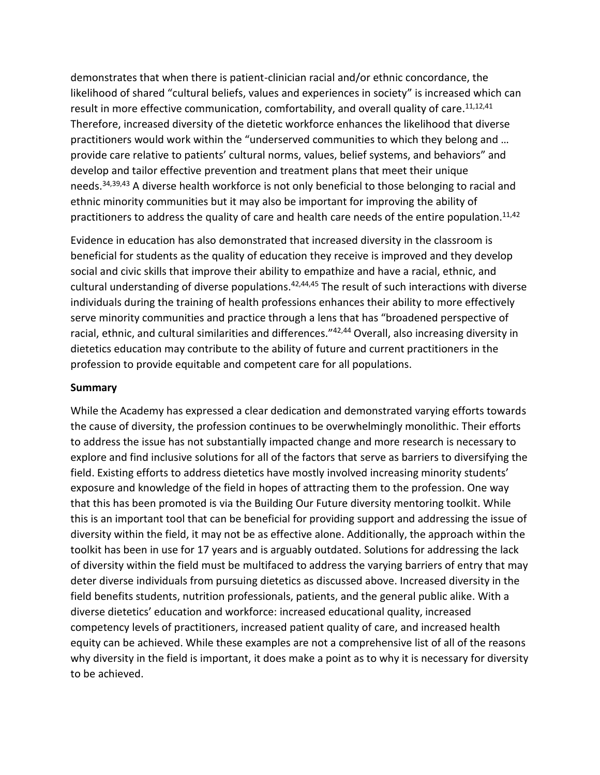demonstrates that when there is patient-clinician racial and/or ethnic concordance, the likelihood of shared "cultural beliefs, values and experiences in society" is increased which can result in more effective communication, comfortability, and overall quality of care.<sup>11,12,41</sup> Therefore, increased diversity of the dietetic workforce enhances the likelihood that diverse practitioners would work within the "underserved communities to which they belong and … provide care relative to patients' cultural norms, values, belief systems, and behaviors" and develop and tailor effective prevention and treatment plans that meet their unique needs.<sup>34,39,43</sup> A diverse health workforce is not only beneficial to those belonging to racial and ethnic minority communities but it may also be important for improving the ability of practitioners to address the quality of care and health care needs of the entire population.<sup>11,42</sup>

Evidence in education has also demonstrated that increased diversity in the classroom is beneficial for students as the quality of education they receive is improved and they develop social and civic skills that improve their ability to empathize and have a racial, ethnic, and cultural understanding of diverse populations.<sup>42,44,45</sup> The result of such interactions with diverse individuals during the training of health professions enhances their ability to more effectively serve minority communities and practice through a lens that has "broadened perspective of racial, ethnic, and cultural similarities and differences."42,44 Overall, also increasing diversity in dietetics education may contribute to the ability of future and current practitioners in the profession to provide equitable and competent care for all populations.

#### **Summary**

While the Academy has expressed a clear dedication and demonstrated varying efforts towards the cause of diversity, the profession continues to be overwhelmingly monolithic. Their efforts to address the issue has not substantially impacted change and more research is necessary to explore and find inclusive solutions for all of the factors that serve as barriers to diversifying the field. Existing efforts to address dietetics have mostly involved increasing minority students' exposure and knowledge of the field in hopes of attracting them to the profession. One way that this has been promoted is via the Building Our Future diversity mentoring toolkit. While this is an important tool that can be beneficial for providing support and addressing the issue of diversity within the field, it may not be as effective alone. Additionally, the approach within the toolkit has been in use for 17 years and is arguably outdated. Solutions for addressing the lack of diversity within the field must be multifaced to address the varying barriers of entry that may deter diverse individuals from pursuing dietetics as discussed above. Increased diversity in the field benefits students, nutrition professionals, patients, and the general public alike. With a diverse dietetics' education and workforce: increased educational quality, increased competency levels of practitioners, increased patient quality of care, and increased health equity can be achieved. While these examples are not a comprehensive list of all of the reasons why diversity in the field is important, it does make a point as to why it is necessary for diversity to be achieved.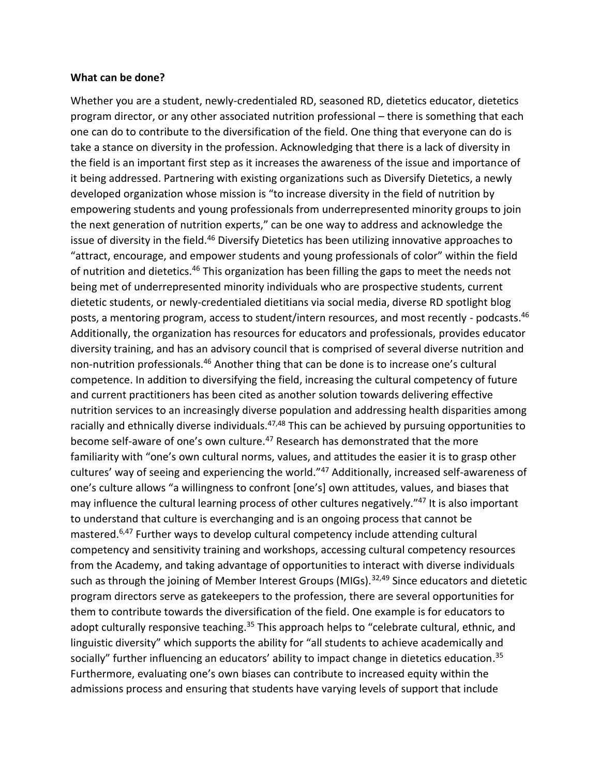#### **What can be done?**

Whether you are a student, newly-credentialed RD, seasoned RD, dietetics educator, dietetics program director, or any other associated nutrition professional – there is something that each one can do to contribute to the diversification of the field. One thing that everyone can do is take a stance on diversity in the profession. Acknowledging that there is a lack of diversity in the field is an important first step as it increases the awareness of the issue and importance of it being addressed. Partnering with existing organizations such as Diversify Dietetics, a newly developed organization whose mission is "to increase diversity in the field of nutrition by empowering students and young professionals from underrepresented minority groups to join the next generation of nutrition experts," can be one way to address and acknowledge the issue of diversity in the field.<sup>46</sup> Diversify Dietetics has been utilizing innovative approaches to "attract, encourage, and empower students and young professionals of color" within the field of nutrition and dietetics.<sup>46</sup> This organization has been filling the gaps to meet the needs not being met of underrepresented minority individuals who are prospective students, current dietetic students, or newly-credentialed dietitians via social media, diverse RD spotlight blog posts, a mentoring program, access to student/intern resources, and most recently - podcasts.<sup>46</sup> Additionally, the organization has resources for educators and professionals, provides educator diversity training, and has an advisory council that is comprised of several diverse nutrition and non-nutrition professionals.<sup>46</sup> Another thing that can be done is to increase one's cultural competence. In addition to diversifying the field, increasing the cultural competency of future and current practitioners has been cited as another solution towards delivering effective nutrition services to an increasingly diverse population and addressing health disparities among racially and ethnically diverse individuals.<sup>47,48</sup> This can be achieved by pursuing opportunities to become self-aware of one's own culture.<sup>47</sup> Research has demonstrated that the more familiarity with "one's own cultural norms, values, and attitudes the easier it is to grasp other cultures' way of seeing and experiencing the world."<sup>47</sup> Additionally, increased self-awareness of one's culture allows "a willingness to confront [one's] own attitudes, values, and biases that may influence the cultural learning process of other cultures negatively."<sup>47</sup> It is also important to understand that culture is everchanging and is an ongoing process that cannot be mastered.6,47 Further ways to develop cultural competency include attending cultural competency and sensitivity training and workshops, accessing cultural competency resources from the Academy, and taking advantage of opportunities to interact with diverse individuals such as through the joining of Member Interest Groups (MIGs).  $32,49$  Since educators and dietetic program directors serve as gatekeepers to the profession, there are several opportunities for them to contribute towards the diversification of the field. One example is for educators to adopt culturally responsive teaching.<sup>35</sup> This approach helps to "celebrate cultural, ethnic, and linguistic diversity" which supports the ability for "all students to achieve academically and socially" further influencing an educators' ability to impact change in dietetics education.<sup>35</sup> Furthermore, evaluating one's own biases can contribute to increased equity within the admissions process and ensuring that students have varying levels of support that include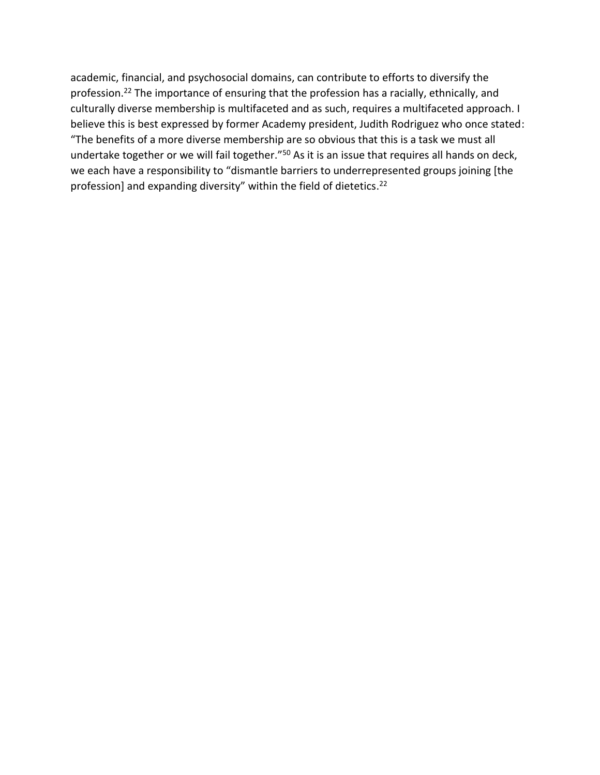academic, financial, and psychosocial domains, can contribute to efforts to diversify the profession.<sup>22</sup> The importance of ensuring that the profession has a racially, ethnically, and culturally diverse membership is multifaceted and as such, requires a multifaceted approach. I believe this is best expressed by former Academy president, Judith Rodriguez who once stated: "The benefits of a more diverse membership are so obvious that this is a task we must all undertake together or we will fail together."<sup>50</sup> As it is an issue that requires all hands on deck, we each have a responsibility to "dismantle barriers to underrepresented groups joining [the profession] and expanding diversity" within the field of dietetics.<sup>22</sup>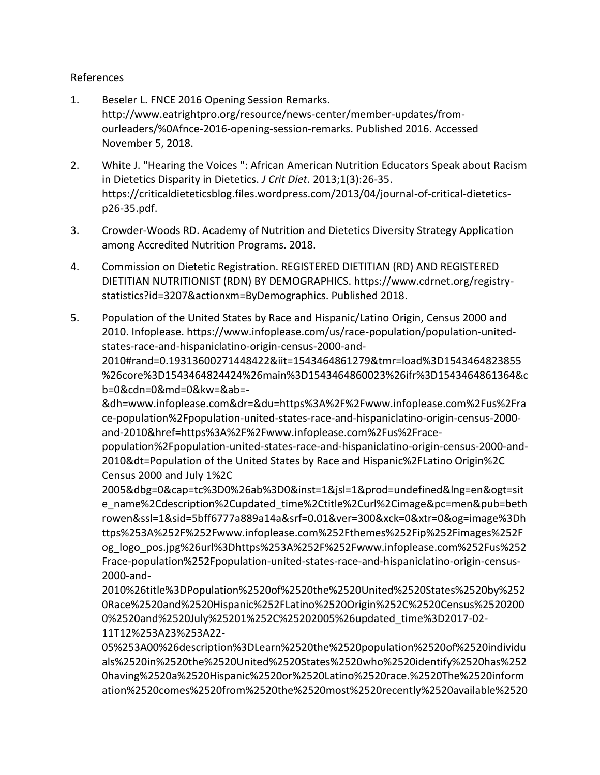#### References

- 1. Beseler L. FNCE 2016 Opening Session Remarks. http://www.eatrightpro.org/resource/news-center/member-updates/fromourleaders/%0Afnce-2016-opening-session-remarks. Published 2016. Accessed November 5, 2018.
- 2. White J. "Hearing the Voices ": African American Nutrition Educators Speak about Racism in Dietetics Disparity in Dietetics. *J Crit Diet*. 2013;1(3):26-35. https://criticaldieteticsblog.files.wordpress.com/2013/04/journal-of-critical-dieteticsp26-35.pdf.
- 3. Crowder-Woods RD. Academy of Nutrition and Dietetics Diversity Strategy Application among Accredited Nutrition Programs. 2018.
- 4. Commission on Dietetic Registration. REGISTERED DIETITIAN (RD) AND REGISTERED DIETITIAN NUTRITIONIST (RDN) BY DEMOGRAPHICS. https://www.cdrnet.org/registrystatistics?id=3207&actionxm=ByDemographics. Published 2018.
- 5. Population of the United States by Race and Hispanic/Latino Origin, Census 2000 and 2010. Infoplease. https://www.infoplease.com/us/race-population/population-unitedstates-race-and-hispaniclatino-origin-census-2000-and-

2010#rand=0.19313600271448422&iit=1543464861279&tmr=load%3D1543464823855 %26core%3D1543464824424%26main%3D1543464860023%26ifr%3D1543464861364&c b=0&cdn=0&md=0&kw=&ab=-

&dh=www.infoplease.com&dr=&du=https%3A%2F%2Fwww.infoplease.com%2Fus%2Fra ce-population%2Fpopulation-united-states-race-and-hispaniclatino-origin-census-2000 and-2010&href=https%3A%2F%2Fwww.infoplease.com%2Fus%2Frace-

population%2Fpopulation-united-states-race-and-hispaniclatino-origin-census-2000-and-2010&dt=Population of the United States by Race and Hispanic%2FLatino Origin%2C Census 2000 and July 1%2C

2005&dbg=0&cap=tc%3D0%26ab%3D0&inst=1&jsl=1&prod=undefined&lng=en&ogt=sit e\_name%2Cdescription%2Cupdated\_time%2Ctitle%2Curl%2Cimage&pc=men&pub=beth rowen&ssl=1&sid=5bff6777a889a14a&srf=0.01&ver=300&xck=0&xtr=0&og=image%3Dh ttps%253A%252F%252Fwww.infoplease.com%252Fthemes%252Fip%252Fimages%252F og\_logo\_pos.jpg%26url%3Dhttps%253A%252F%252Fwww.infoplease.com%252Fus%252 Frace-population%252Fpopulation-united-states-race-and-hispaniclatino-origin-census-2000-and-

2010%26title%3DPopulation%2520of%2520the%2520United%2520States%2520by%252 0Race%2520and%2520Hispanic%252FLatino%2520Origin%252C%2520Census%2520200 0%2520and%2520July%25201%252C%25202005%26updated\_time%3D2017-02- 11T12%253A23%253A22-

05%253A00%26description%3DLearn%2520the%2520population%2520of%2520individu als%2520in%2520the%2520United%2520States%2520who%2520identify%2520has%252 0having%2520a%2520Hispanic%2520or%2520Latino%2520race.%2520The%2520inform ation%2520comes%2520from%2520the%2520most%2520recently%2520available%2520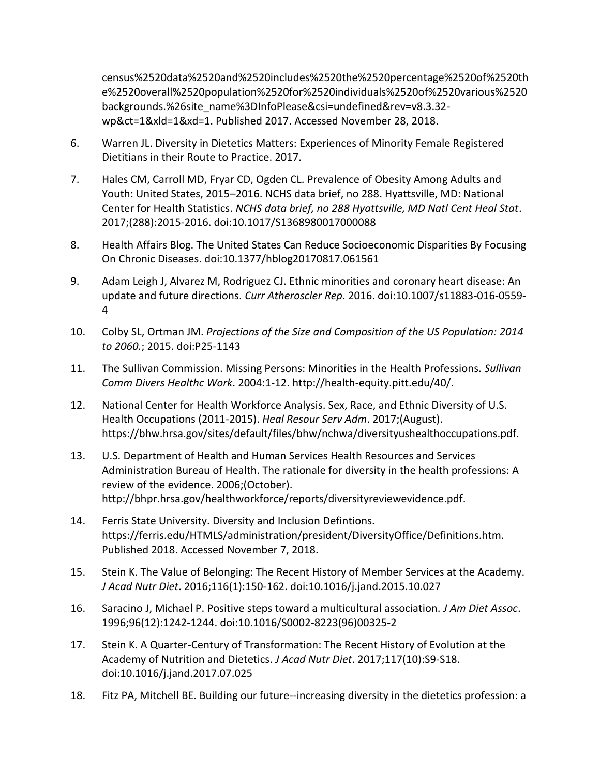census%2520data%2520and%2520includes%2520the%2520percentage%2520of%2520th e%2520overall%2520population%2520for%2520individuals%2520of%2520various%2520 backgrounds.%26site\_name%3DInfoPlease&csi=undefined&rev=v8.3.32wp&ct=1&xld=1&xd=1. Published 2017. Accessed November 28, 2018.

- 6. Warren JL. Diversity in Dietetics Matters: Experiences of Minority Female Registered Dietitians in their Route to Practice. 2017.
- 7. Hales CM, Carroll MD, Fryar CD, Ogden CL. Prevalence of Obesity Among Adults and Youth: United States, 2015–2016. NCHS data brief, no 288. Hyattsville, MD: National Center for Health Statistics. *NCHS data brief, no 288 Hyattsville, MD Natl Cent Heal Stat*. 2017;(288):2015-2016. doi:10.1017/S1368980017000088
- 8. Health Affairs Blog. The United States Can Reduce Socioeconomic Disparities By Focusing On Chronic Diseases. doi:10.1377/hblog20170817.061561
- 9. Adam Leigh J, Alvarez M, Rodriguez CJ. Ethnic minorities and coronary heart disease: An update and future directions. *Curr Atheroscler Rep*. 2016. doi:10.1007/s11883-016-0559- 4
- 10. Colby SL, Ortman JM. *Projections of the Size and Composition of the US Population: 2014 to 2060.*; 2015. doi:P25-1143
- 11. The Sullivan Commission. Missing Persons: Minorities in the Health Professions. *Sullivan Comm Divers Healthc Work*. 2004:1-12. http://health-equity.pitt.edu/40/.
- 12. National Center for Health Workforce Analysis. Sex, Race, and Ethnic Diversity of U.S. Health Occupations (2011-2015). *Heal Resour Serv Adm*. 2017;(August). https://bhw.hrsa.gov/sites/default/files/bhw/nchwa/diversityushealthoccupations.pdf.
- 13. U.S. Department of Health and Human Services Health Resources and Services Administration Bureau of Health. The rationale for diversity in the health professions: A review of the evidence. 2006;(October). http://bhpr.hrsa.gov/healthworkforce/reports/diversityreviewevidence.pdf.
- 14. Ferris State University. Diversity and Inclusion Defintions. https://ferris.edu/HTMLS/administration/president/DiversityOffice/Definitions.htm. Published 2018. Accessed November 7, 2018.
- 15. Stein K. The Value of Belonging: The Recent History of Member Services at the Academy. *J Acad Nutr Diet*. 2016;116(1):150-162. doi:10.1016/j.jand.2015.10.027
- 16. Saracino J, Michael P. Positive steps toward a multicultural association. *J Am Diet Assoc*. 1996;96(12):1242-1244. doi:10.1016/S0002-8223(96)00325-2
- 17. Stein K. A Quarter-Century of Transformation: The Recent History of Evolution at the Academy of Nutrition and Dietetics. *J Acad Nutr Diet*. 2017;117(10):S9-S18. doi:10.1016/j.jand.2017.07.025
- 18. Fitz PA, Mitchell BE. Building our future--increasing diversity in the dietetics profession: a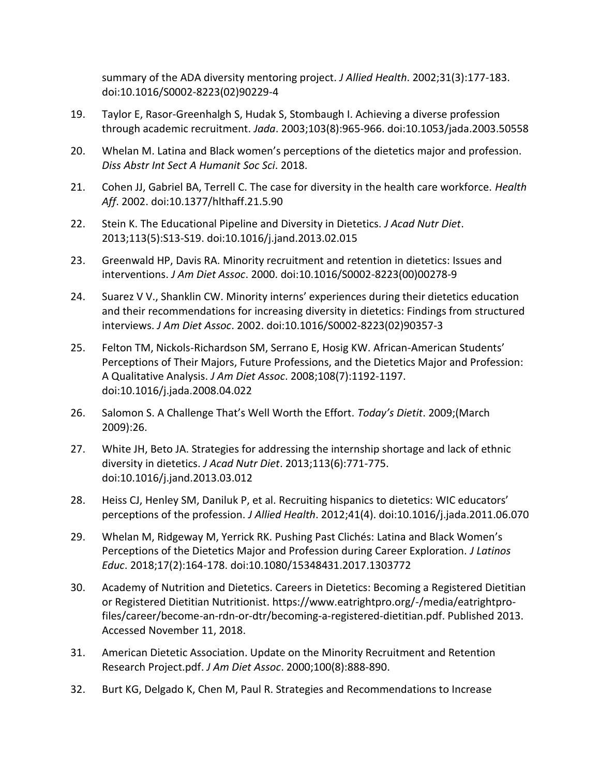summary of the ADA diversity mentoring project. *J Allied Health*. 2002;31(3):177-183. doi:10.1016/S0002-8223(02)90229-4

- 19. Taylor E, Rasor-Greenhalgh S, Hudak S, Stombaugh I. Achieving a diverse profession through academic recruitment. *Jada*. 2003;103(8):965-966. doi:10.1053/jada.2003.50558
- 20. Whelan M. Latina and Black women's perceptions of the dietetics major and profession. *Diss Abstr Int Sect A Humanit Soc Sci*. 2018.
- 21. Cohen JJ, Gabriel BA, Terrell C. The case for diversity in the health care workforce. *Health Aff*. 2002. doi:10.1377/hlthaff.21.5.90
- 22. Stein K. The Educational Pipeline and Diversity in Dietetics. *J Acad Nutr Diet*. 2013;113(5):S13-S19. doi:10.1016/j.jand.2013.02.015
- 23. Greenwald HP, Davis RA. Minority recruitment and retention in dietetics: Issues and interventions. *J Am Diet Assoc*. 2000. doi:10.1016/S0002-8223(00)00278-9
- 24. Suarez V V., Shanklin CW. Minority interns' experiences during their dietetics education and their recommendations for increasing diversity in dietetics: Findings from structured interviews. *J Am Diet Assoc*. 2002. doi:10.1016/S0002-8223(02)90357-3
- 25. Felton TM, Nickols-Richardson SM, Serrano E, Hosig KW. African-American Students' Perceptions of Their Majors, Future Professions, and the Dietetics Major and Profession: A Qualitative Analysis. *J Am Diet Assoc*. 2008;108(7):1192-1197. doi:10.1016/j.jada.2008.04.022
- 26. Salomon S. A Challenge That's Well Worth the Effort. *Today's Dietit*. 2009;(March 2009):26.
- 27. White JH, Beto JA. Strategies for addressing the internship shortage and lack of ethnic diversity in dietetics. *J Acad Nutr Diet*. 2013;113(6):771-775. doi:10.1016/j.jand.2013.03.012
- 28. Heiss CJ, Henley SM, Daniluk P, et al. Recruiting hispanics to dietetics: WIC educators' perceptions of the profession. *J Allied Health*. 2012;41(4). doi:10.1016/j.jada.2011.06.070
- 29. Whelan M, Ridgeway M, Yerrick RK. Pushing Past Clichés: Latina and Black Women's Perceptions of the Dietetics Major and Profession during Career Exploration. *J Latinos Educ*. 2018;17(2):164-178. doi:10.1080/15348431.2017.1303772
- 30. Academy of Nutrition and Dietetics. Careers in Dietetics: Becoming a Registered Dietitian or Registered Dietitian Nutritionist. https://www.eatrightpro.org/-/media/eatrightprofiles/career/become-an-rdn-or-dtr/becoming-a-registered-dietitian.pdf. Published 2013. Accessed November 11, 2018.
- 31. American Dietetic Association. Update on the Minority Recruitment and Retention Research Project.pdf. *J Am Diet Assoc*. 2000;100(8):888-890.
- 32. Burt KG, Delgado K, Chen M, Paul R. Strategies and Recommendations to Increase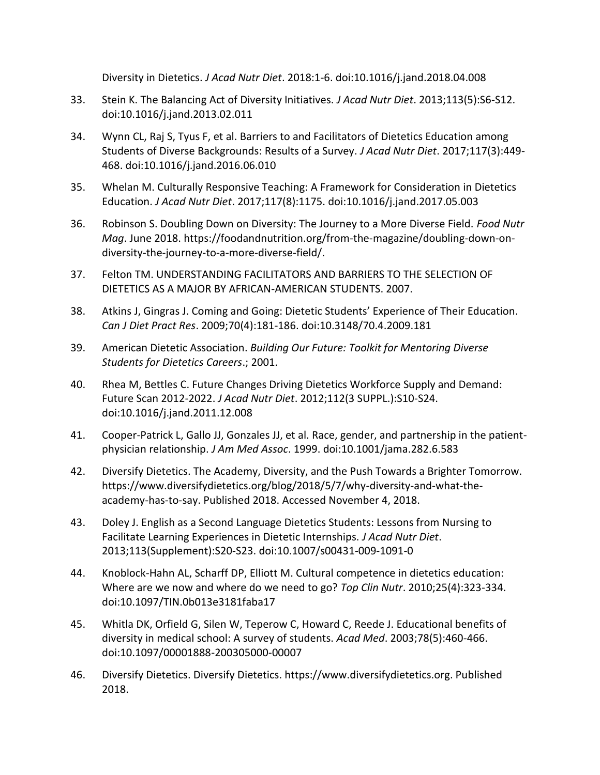Diversity in Dietetics. *J Acad Nutr Diet*. 2018:1-6. doi:10.1016/j.jand.2018.04.008

- 33. Stein K. The Balancing Act of Diversity Initiatives. *J Acad Nutr Diet*. 2013;113(5):S6-S12. doi:10.1016/j.jand.2013.02.011
- 34. Wynn CL, Raj S, Tyus F, et al. Barriers to and Facilitators of Dietetics Education among Students of Diverse Backgrounds: Results of a Survey. *J Acad Nutr Diet*. 2017;117(3):449- 468. doi:10.1016/j.jand.2016.06.010
- 35. Whelan M. Culturally Responsive Teaching: A Framework for Consideration in Dietetics Education. *J Acad Nutr Diet*. 2017;117(8):1175. doi:10.1016/j.jand.2017.05.003
- 36. Robinson S. Doubling Down on Diversity: The Journey to a More Diverse Field. *Food Nutr Mag*. June 2018. https://foodandnutrition.org/from-the-magazine/doubling-down-ondiversity-the-journey-to-a-more-diverse-field/.
- 37. Felton TM. UNDERSTANDING FACILITATORS AND BARRIERS TO THE SELECTION OF DIETETICS AS A MAJOR BY AFRICAN-AMERICAN STUDENTS. 2007.
- 38. Atkins J, Gingras J. Coming and Going: Dietetic Students' Experience of Their Education. *Can J Diet Pract Res*. 2009;70(4):181-186. doi:10.3148/70.4.2009.181
- 39. American Dietetic Association. *Building Our Future: Toolkit for Mentoring Diverse Students for Dietetics Careers*.; 2001.
- 40. Rhea M, Bettles C. Future Changes Driving Dietetics Workforce Supply and Demand: Future Scan 2012-2022. *J Acad Nutr Diet*. 2012;112(3 SUPPL.):S10-S24. doi:10.1016/j.jand.2011.12.008
- 41. Cooper-Patrick L, Gallo JJ, Gonzales JJ, et al. Race, gender, and partnership in the patientphysician relationship. *J Am Med Assoc*. 1999. doi:10.1001/jama.282.6.583
- 42. Diversify Dietetics. The Academy, Diversity, and the Push Towards a Brighter Tomorrow. https://www.diversifydietetics.org/blog/2018/5/7/why-diversity-and-what-theacademy-has-to-say. Published 2018. Accessed November 4, 2018.
- 43. Doley J. English as a Second Language Dietetics Students: Lessons from Nursing to Facilitate Learning Experiences in Dietetic Internships. *J Acad Nutr Diet*. 2013;113(Supplement):S20-S23. doi:10.1007/s00431-009-1091-0
- 44. Knoblock-Hahn AL, Scharff DP, Elliott M. Cultural competence in dietetics education: Where are we now and where do we need to go? *Top Clin Nutr*. 2010;25(4):323-334. doi:10.1097/TIN.0b013e3181faba17
- 45. Whitla DK, Orfield G, Silen W, Teperow C, Howard C, Reede J. Educational benefits of diversity in medical school: A survey of students. *Acad Med*. 2003;78(5):460-466. doi:10.1097/00001888-200305000-00007
- 46. Diversify Dietetics. Diversify Dietetics. https://www.diversifydietetics.org. Published 2018.